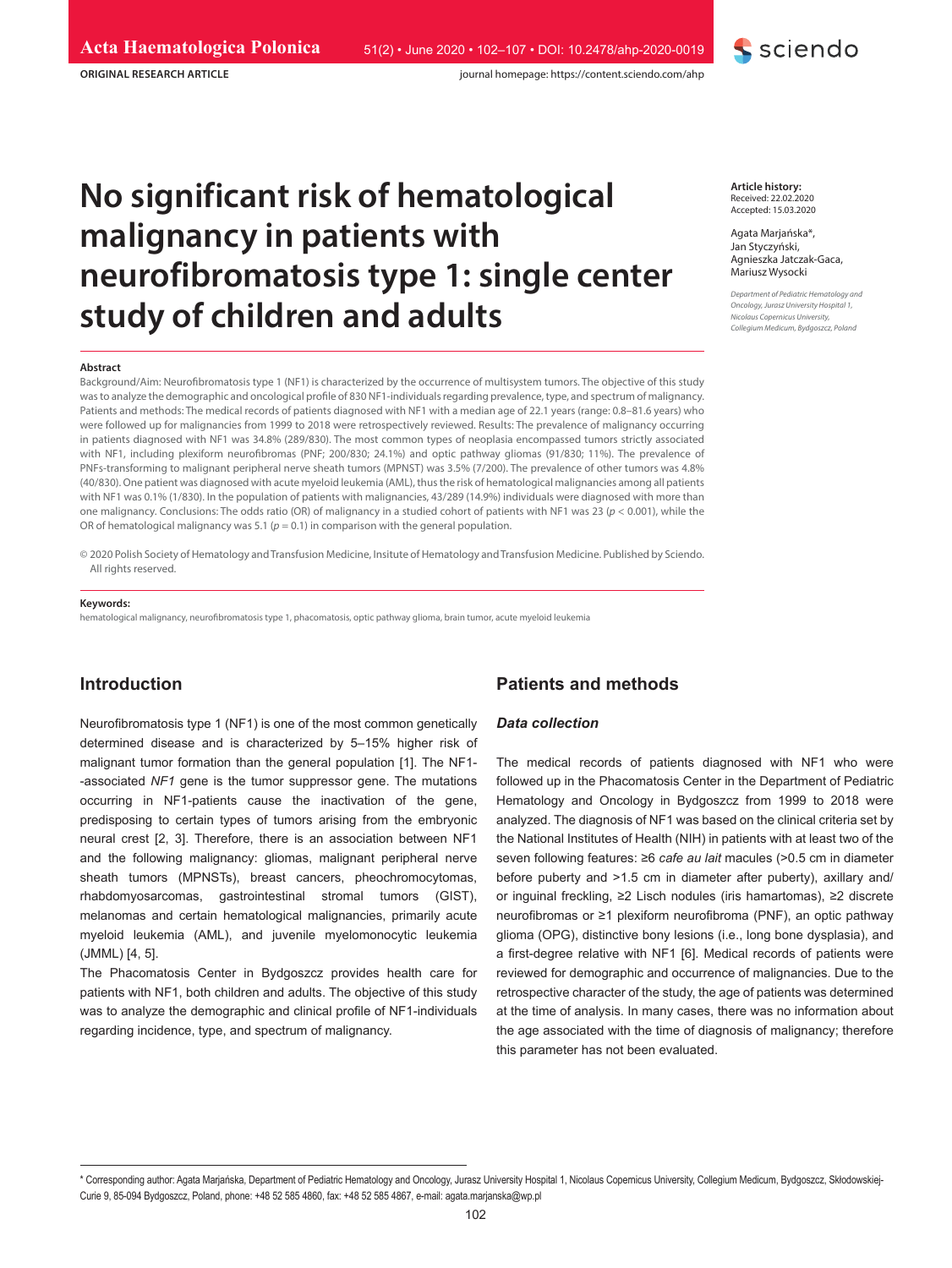**ORIGINAL RESEARCH ARTICLE**

# **No significant risk of hematological malignancy in patients with neurofibromatosis type 1: single center study of children and adults**

#### **Abstract**

Background/Aim: Neurofibromatosis type 1 (NF1) is characterized by the occurrence of multisystem tumors. The objective of this study was to analyze the demographic and oncological profile of 830 NF1-individuals regarding prevalence, type, and spectrum of malignancy. Patients and methods: The medical records of patients diagnosed with NF1 with a median age of 22.1 years (range: 0.8–81.6 years) who were followed up for malignancies from 1999 to 2018 were retrospectively reviewed. Results: The prevalence of malignancy occurring in patients diagnosed with NF1 was 34.8% (289/830). The most common types of neoplasia encompassed tumors strictly associated with NF1, including plexiform neurofibromas (PNF; 200/830; 24.1%) and optic pathway gliomas (91/830; 11%). The prevalence of PNFs-transforming to malignant peripheral nerve sheath tumors (MPNST) was 3.5% (7/200). The prevalence of other tumors was 4.8% (40/830). One patient was diagnosed with acute myeloid leukemia (AML), thus the risk of hematological malignancies among all patients with NF1 was 0.1% (1/830). In the population of patients with malignancies, 43/289 (14.9%) individuals were diagnosed with more than one malignancy. Conclusions: The odds ratio (OR) of malignancy in a studied cohort of patients with NF1 was 23 (*p* < 0.001), while the OR of hematological malignancy was 5.1 ( $p = 0.1$ ) in comparison with the general population.

© 2020 Polish Society of Hematology and Transfusion Medicine, Insitute of Hematology and Transfusion Medicine. Published by Sciendo. All rights reserved.

#### **Keywords:**

hematological malignancy, neurofibromatosis type 1, phacomatosis, optic pathway glioma, brain tumor, acute myeloid leukemia

# **Introduction**

Neurofibromatosis type 1 (NF1) is one of the most common genetically determined disease and is characterized by 5–15% higher risk of malignant tumor formation than the general population [1]. The NF1- -associated *NF1* gene is the tumor suppressor gene. The mutations occurring in NF1-patients cause the inactivation of the gene, predisposing to certain types of tumors arising from the embryonic neural crest [2, 3]. Therefore, there is an association between NF1 and the following malignancy: gliomas, malignant peripheral nerve sheath tumors (MPNSTs), breast cancers, pheochromocytomas, rhabdomyosarcomas, gastrointestinal stromal tumors (GIST), melanomas and certain hematological malignancies, primarily acute myeloid leukemia (AML), and juvenile myelomonocytic leukemia (JMML) [4, 5].

The Phacomatosis Center in Bydgoszcz provides health care for patients with NF1, both children and adults. The objective of this study was to analyze the demographic and clinical profile of NF1-individuals regarding incidence, type, and spectrum of malignancy.

# **Patients and methods**

#### *Data collection*

The medical records of patients diagnosed with NF1 who were followed up in the Phacomatosis Center in the Department of Pediatric Hematology and Oncology in Bydgoszcz from 1999 to 2018 were analyzed. The diagnosis of NF1 was based on the clinical criteria set by the National Institutes of Health (NIH) in patients with at least two of the seven following features: ≥6 *cafe au lait* macules (>0.5 cm in diameter before puberty and >1.5 cm in diameter after puberty), axillary and/ or inguinal freckling, ≥2 Lisch nodules (iris hamartomas), ≥2 discrete neurofibromas or ≥1 plexiform neurofibroma (PNF), an optic pathway glioma (OPG), distinctive bony lesions (i.e., long bone dysplasia), and a first-degree relative with NF1 [6]. Medical records of patients were reviewed for demographic and occurrence of malignancies. Due to the retrospective character of the study, the age of patients was determined at the time of analysis. In many cases, there was no information about the age associated with the time of diagnosis of malignancy; therefore this parameter has not been evaluated.

**Article history:** Received: 22.02.2020 Accepted: 15.03.2020

Agata Marjańska\*, Jan Styczyński, Agnieszka Jatczak-Gaca, Mariusz Wysocki

*Department of Pediatric Hematology and Oncology, Jurasz University Hospital 1, Nicolaus Copernicus University, Collegium Medicum, Bydgoszcz, Poland*



<sup>\*</sup> Corresponding author: Agata Marjańska, Department of Pediatric Hematology and Oncology, Jurasz University Hospital 1, Nicolaus Copernicus University, Collegium Medicum, Bydgoszcz, Skłodowskiej-Curie 9, 85-094 Bydgoszcz, Poland, phone: +48 52 585 4860, fax: +48 52 585 4867, e-mail: agata.marjanska@wp.pl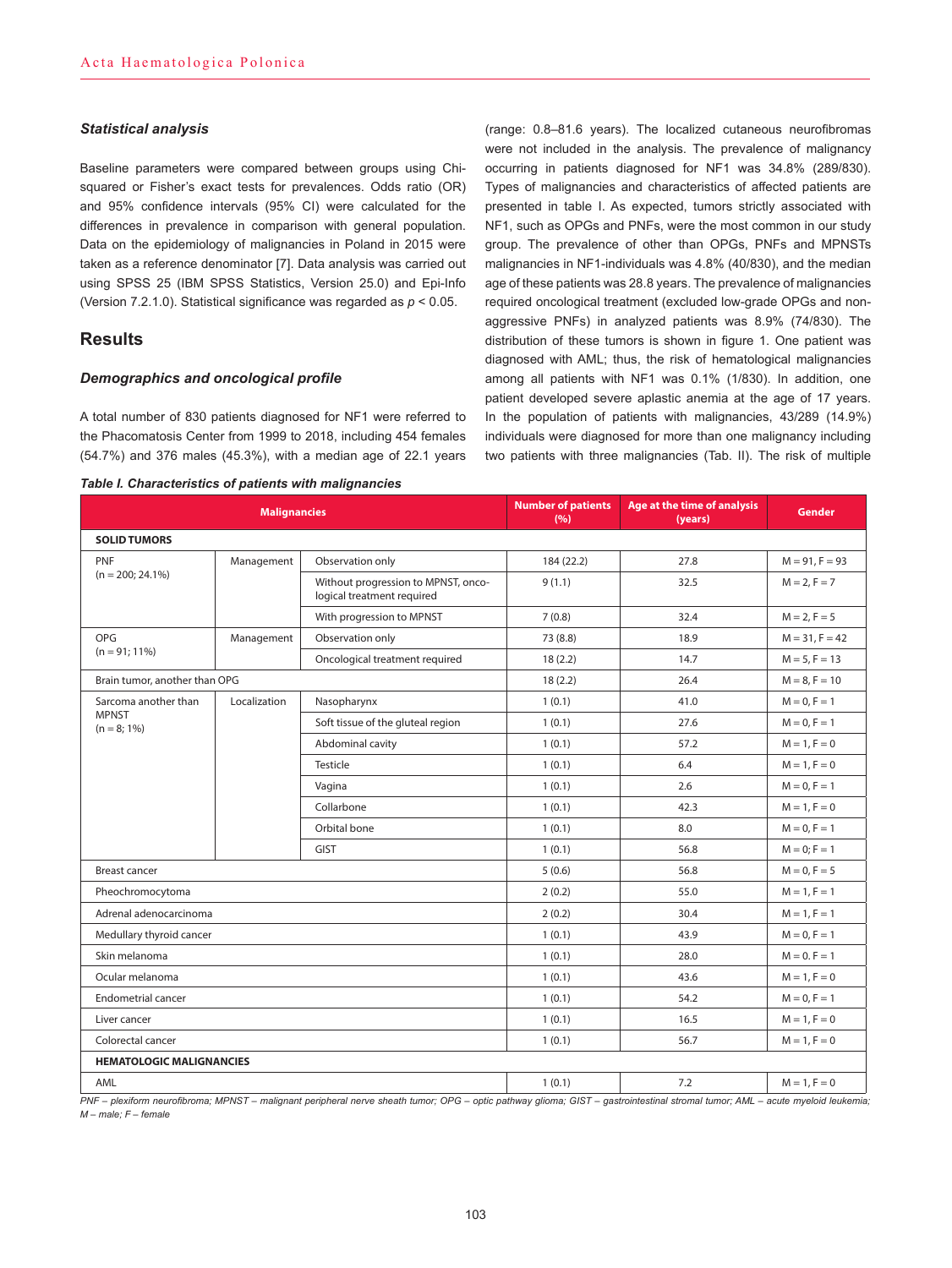### *Statistical analysis*

Baseline parameters were compared between groups using Chisquared or Fisher's exact tests for prevalences. Odds ratio (OR) and 95% confidence intervals (95% CI) were calculated for the differences in prevalence in comparison with general population. Data on the epidemiology of malignancies in Poland in 2015 were taken as a reference denominator [7]. Data analysis was carried out using SPSS 25 (IBM SPSS Statistics, Version 25.0) and Epi-Info (Version 7.2.1.0). Statistical significance was regarded as *p* < 0.05.

# **Results**

## *Demographics and oncological profile*

A total number of 830 patients diagnosed for NF1 were referred to the Phacomatosis Center from 1999 to 2018, including 454 females (54.7%) and 376 males (45.3%), with a median age of 22.1 years

#### *Table I. Characteristics of patients with malignancies*

(range: 0.8–81.6 years). The localized cutaneous neurofibromas were not included in the analysis. The prevalence of malignancy occurring in patients diagnosed for NF1 was 34.8% (289/830). Types of malignancies and characteristics of affected patients are presented in table I. As expected, tumors strictly associated with NF1, such as OPGs and PNFs, were the most common in our study group. The prevalence of other than OPGs, PNFs and MPNSTs malignancies in NF1-individuals was 4.8% (40/830), and the median age of these patients was 28.8 years. The prevalence of malignancies required oncological treatment (excluded low-grade OPGs and nonaggressive PNFs) in analyzed patients was 8.9% (74/830). The distribution of these tumors is shown in figure 1. One patient was diagnosed with AML; thus, the risk of hematological malignancies among all patients with NF1 was 0.1% (1/830). In addition, one patient developed severe aplastic anemia at the age of 17 years. In the population of patients with malignancies, 43/289 (14.9%) individuals were diagnosed for more than one malignancy including two patients with three malignancies (Tab. II). The risk of multiple

| <b>Malignancies</b>               |              | <b>Number of patients</b><br>(9/6)                                | Age at the time of analysis<br>(years) | <b>Gender</b>   |                  |
|-----------------------------------|--------------|-------------------------------------------------------------------|----------------------------------------|-----------------|------------------|
| <b>SOLID TUMORS</b>               |              |                                                                   |                                        |                 |                  |
| <b>PNF</b><br>$(n = 200; 24.1\%)$ | Management   | Observation only                                                  | 184 (22.2)                             | 27.8            | $M = 91, F = 93$ |
|                                   |              | Without progression to MPNST, onco-<br>logical treatment required | 9(1.1)                                 | 32.5            | $M = 2, F = 7$   |
|                                   |              | With progression to MPNST                                         | 7(0.8)                                 | 32.4            | $M = 2, F = 5$   |
| OPG<br>$(n = 91; 11\%)$           | Management   | Observation only                                                  | 73 (8.8)                               | 18.9            | $M = 31, F = 42$ |
|                                   |              | Oncological treatment required                                    | 18(2.2)                                | 14.7            | $M = 5, F = 13$  |
| Brain tumor, another than OPG     |              | 18(2.2)                                                           | 26.4                                   | $M = 8, F = 10$ |                  |
| Sarcoma another than              | Localization | Nasopharynx                                                       | 1(0.1)                                 | 41.0            | $M = 0, F = 1$   |
| <b>MPNST</b><br>$(n = 8; 1\%)$    |              | Soft tissue of the gluteal region                                 | 1(0.1)                                 | 27.6            | $M = 0, F = 1$   |
|                                   |              | Abdominal cavity                                                  | 1(0.1)                                 | 57.2            | $M = 1, F = 0$   |
|                                   |              | Testicle                                                          | 1(0.1)                                 | 6.4             | $M = 1, F = 0$   |
|                                   |              | Vagina                                                            | 1(0.1)                                 | 2.6             | $M = 0, F = 1$   |
|                                   |              | Collarbone                                                        | 1(0.1)                                 | 42.3            | $M = 1, F = 0$   |
|                                   |              | Orbital bone                                                      | 1(0.1)                                 | 8.0             | $M = 0, F = 1$   |
|                                   |              | <b>GIST</b>                                                       | 1(0.1)                                 | 56.8            | $M = 0: F = 1$   |
| <b>Breast cancer</b>              |              |                                                                   | 5(0.6)                                 | 56.8            | $M = 0, F = 5$   |
| Pheochromocytoma                  |              |                                                                   | 2(0.2)                                 | 55.0            | $M = 1, F = 1$   |
| Adrenal adenocarcinoma            |              |                                                                   | 2(0.2)                                 | 30.4            | $M = 1, F = 1$   |
| Medullary thyroid cancer          |              |                                                                   | 1(0.1)                                 | 43.9            | $M = 0, F = 1$   |
| Skin melanoma                     |              |                                                                   |                                        | 28.0            | $M = 0. F = 1$   |
| Ocular melanoma                   |              |                                                                   | 1(0.1)                                 | 43.6            | $M = 1, F = 0$   |
| <b>Endometrial cancer</b>         |              |                                                                   | 1(0.1)                                 | 54.2            | $M = 0, F = 1$   |
| Liver cancer                      |              |                                                                   | 1(0.1)                                 | 16.5            | $M = 1, F = 0$   |
| Colorectal cancer                 |              |                                                                   | 1(0.1)                                 | 56.7            | $M = 1, F = 0$   |
| <b>HEMATOLOGIC MALIGNANCIES</b>   |              |                                                                   |                                        |                 |                  |
| AML                               |              |                                                                   | 1(0.1)                                 | 7.2             | $M = 1, F = 0$   |

*PNF – plexiform neurofibroma; MPNST – malignant peripheral nerve sheath tumor; OPG – optic pathway glioma; GIST – gastrointestinal stromal tumor; AML – acute myeloid leukemia; M – male; F – female*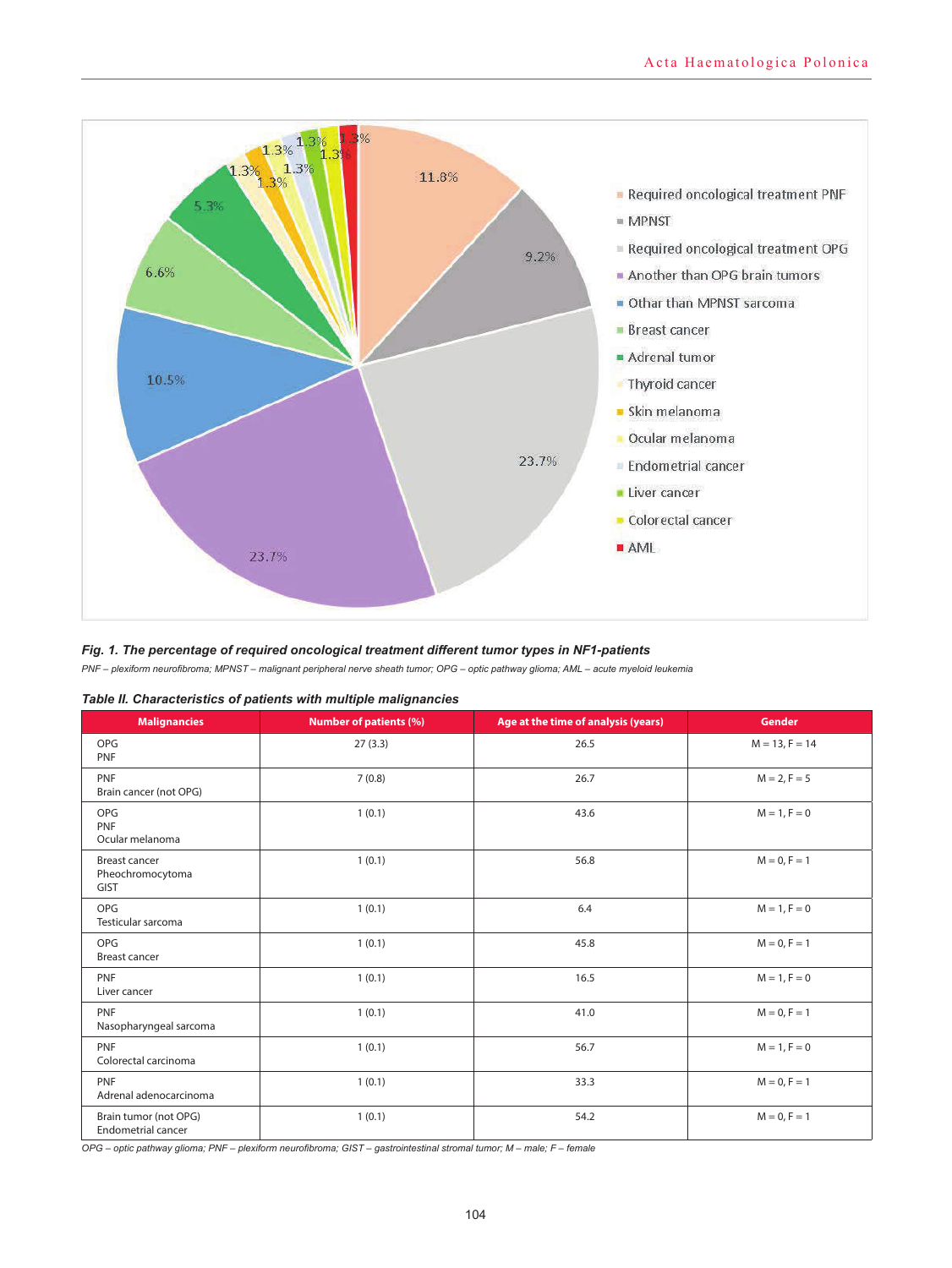

# *Fig. 1. The percentage of required oncological treatment different tumor types in NF1-patients*

*PNF – plexiform neurofibroma; MPNST – malignant peripheral nerve sheath tumor; OPG – optic pathway glioma; AML – acute myeloid leukemia*

| <b>Malignancies</b>                                     | <b>Number of patients (%)</b> | Age at the time of analysis (years) | <b>Gender</b>    |
|---------------------------------------------------------|-------------------------------|-------------------------------------|------------------|
| <b>OPG</b><br>PNF                                       | 27(3.3)                       | 26.5                                | $M = 13, F = 14$ |
| PNF<br>Brain cancer (not OPG)                           | 7(0.8)                        | 26.7                                | $M = 2, F = 5$   |
| OPG<br>PNF<br>Ocular melanoma                           | 1(0.1)                        | 43.6                                | $M = 1, F = 0$   |
| <b>Breast cancer</b><br>Pheochromocytoma<br><b>GIST</b> | 1(0.1)                        | 56.8                                | $M = 0, F = 1$   |
| OPG<br>Testicular sarcoma                               | 1(0.1)                        | 6.4                                 | $M = 1, F = 0$   |
| OPG<br><b>Breast cancer</b>                             | 1(0.1)                        | 45.8                                | $M = 0, F = 1$   |
| PNF<br>Liver cancer                                     | 1(0.1)                        | 16.5                                | $M = 1, F = 0$   |
| PNF<br>Nasopharyngeal sarcoma                           | 1(0.1)                        | 41.0                                | $M = 0, F = 1$   |
| PNF<br>Colorectal carcinoma                             | 1(0.1)                        | 56.7                                | $M = 1, F = 0$   |
| PNF<br>Adrenal adenocarcinoma                           | 1(0.1)                        | 33.3                                | $M = 0, F = 1$   |
| Brain tumor (not OPG)<br><b>Endometrial cancer</b>      | 1(0.1)                        | 54.2                                | $M = 0, F = 1$   |

| Table II. Characteristics of patients with multiple malignancies |  |  |  |
|------------------------------------------------------------------|--|--|--|
|------------------------------------------------------------------|--|--|--|

*OPG – optic pathway glioma; PNF – plexiform neurofibroma; GIST – gastrointestinal stromal tumor; M – male; F – female*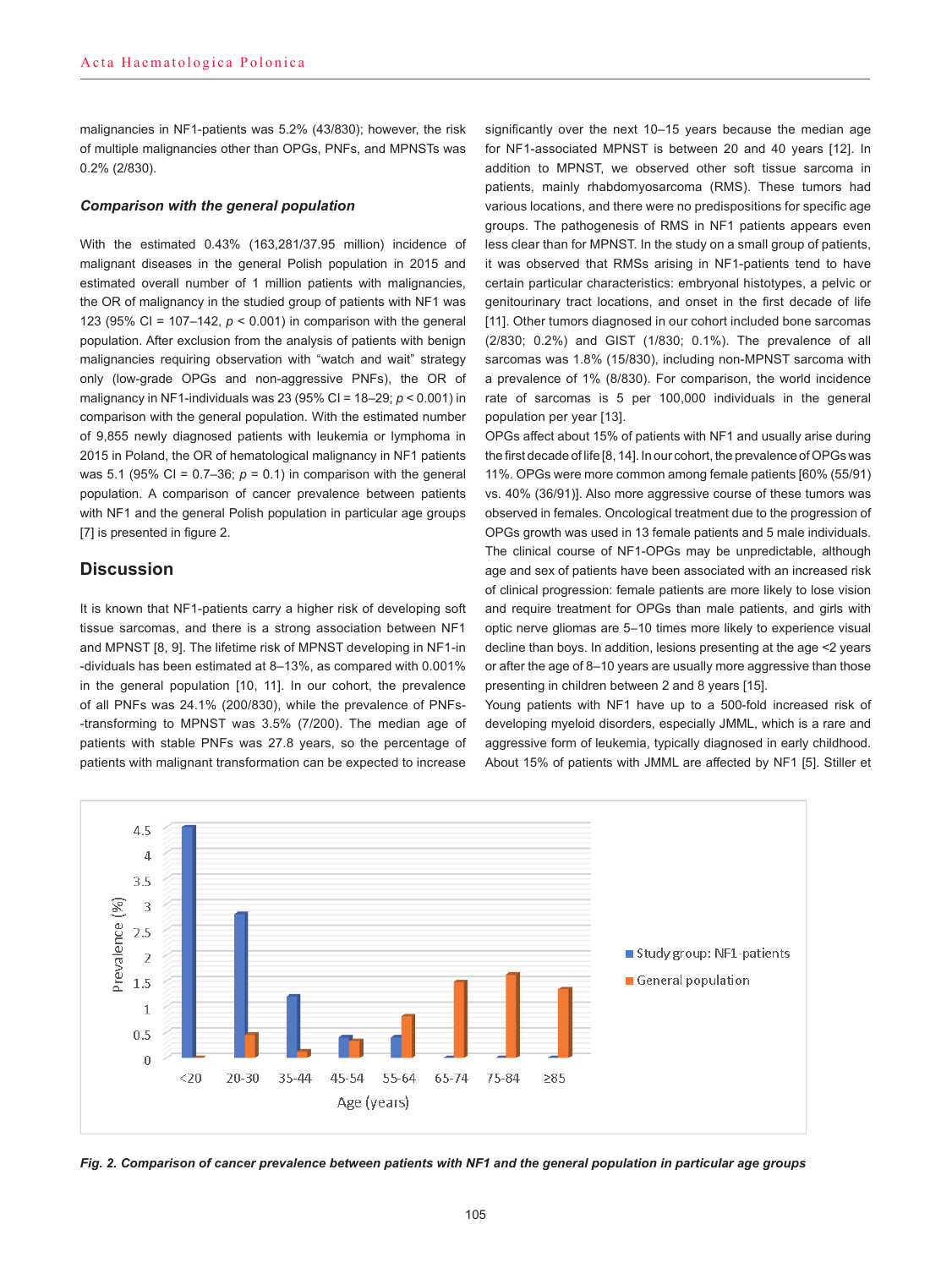malignancies in NF1-patients was 5.2% (43/830); however, the risk of multiple malignancies other than OPGs, PNFs, and MPNSTs was 0.2% (2/830).

## *Comparison with the general population*

With the estimated 0.43% (163,281/37.95 million) incidence of malignant diseases in the general Polish population in 2015 and estimated overall number of 1 million patients with malignancies, the OR of malignancy in the studied group of patients with NF1 was 123 (95% CI = 107–142, *p* < 0.001) in comparison with the general population. After exclusion from the analysis of patients with benign malignancies requiring observation with "watch and wait" strategy only (low-grade OPGs and non-aggressive PNFs), the OR of malignancy in NF1-individuals was 23 (95% CI = 18–29; *p* < 0.001) in comparison with the general population. With the estimated number of 9,855 newly diagnosed patients with leukemia or lymphoma in 2015 in Poland, the OR of hematological malignancy in NF1 patients was 5.1 (95% CI =  $0.7-36$ ;  $p = 0.1$ ) in comparison with the general population. A comparison of cancer prevalence between patients with NF1 and the general Polish population in particular age groups [7] is presented in figure 2.

# **Discussion**

It is known that NF1-patients carry a higher risk of developing soft tissue sarcomas, and there is a strong association between NF1 and MPNST [8, 9]. The lifetime risk of MPNST developing in NF1-in -dividuals has been estimated at 8–13%, as compared with 0.001% in the general population [10, 11]. In our cohort, the prevalence of all PNFs was 24.1% (200/830), while the prevalence of PNFs- -transforming to MPNST was 3.5% (7/200). The median age of patients with stable PNFs was 27.8 years, so the percentage of patients with malignant transformation can be expected to increase

significantly over the next 10–15 years because the median age for NF1-associated MPNST is between 20 and 40 years [12]. In addition to MPNST, we observed other soft tissue sarcoma in patients, mainly rhabdomyosarcoma (RMS). These tumors had various locations, and there were no predispositions for specific age groups. The pathogenesis of RMS in NF1 patients appears even less clear than for MPNST. In the study on a small group of patients, it was observed that RMSs arising in NF1-patients tend to have certain particular characteristics: embryonal histotypes, a pelvic or genitourinary tract locations, and onset in the first decade of life [11]. Other tumors diagnosed in our cohort included bone sarcomas (2/830; 0.2%) and GIST (1/830; 0.1%). The prevalence of all sarcomas was 1.8% (15/830), including non-MPNST sarcoma with a prevalence of 1% (8/830). For comparison, the world incidence rate of sarcomas is 5 per 100,000 individuals in the general population per year [13].

OPGs affect about 15% of patients with NF1 and usually arise during the first decade of life [8, 14]. In our cohort, the prevalence of OPGs was 11%. OPGs were more common among female patients [60% (55/91) vs. 40% (36/91)]. Also more aggressive course of these tumors was observed in females. Oncological treatment due to the progression of OPGs growth was used in 13 female patients and 5 male individuals. The clinical course of NF1-OPGs may be unpredictable, although age and sex of patients have been associated with an increased risk of clinical progression: female patients are more likely to lose vision and require treatment for OPGs than male patients, and girls with optic nerve gliomas are 5–10 times more likely to experience visual decline than boys. In addition, lesions presenting at the age <2 years or after the age of 8–10 years are usually more aggressive than those presenting in children between 2 and 8 years [15].

Young patients with NF1 have up to a 500-fold increased risk of developing myeloid disorders, especially JMML, which is a rare and aggressive form of leukemia, typically diagnosed in early childhood. About 15% of patients with JMML are affected by NF1 [5]. Stiller et



*Fig. 2. Comparison of cancer prevalence between patients with NF1 and the general population in particular age groups*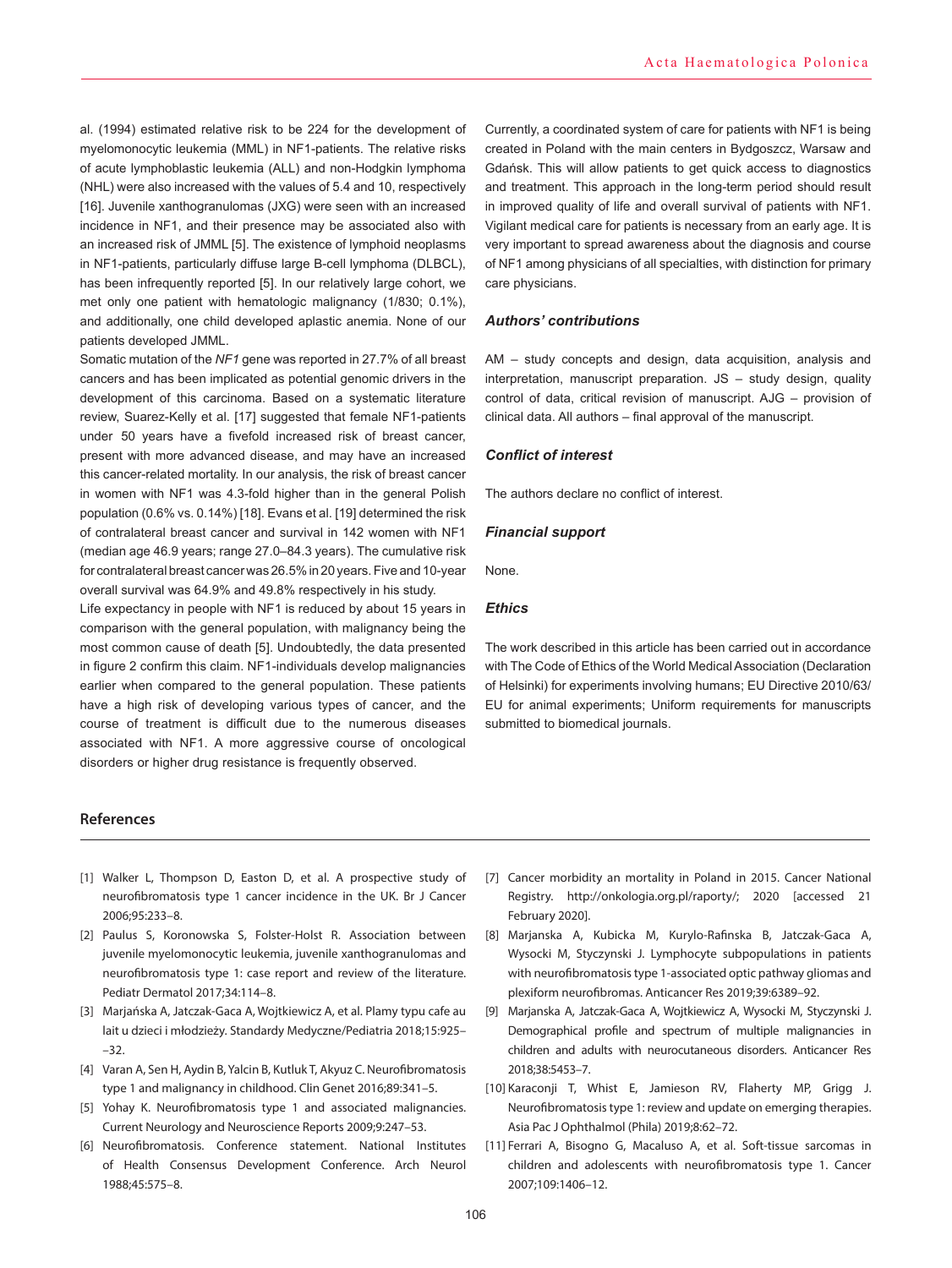al. (1994) estimated relative risk to be 224 for the development of myelomonocytic leukemia (MML) in NF1-patients. The relative risks of acute lymphoblastic leukemia (ALL) and non-Hodgkin lymphoma (NHL) were also increased with the values of 5.4 and 10, respectively [16]. Juvenile xanthogranulomas (JXG) were seen with an increased incidence in NF1, and their presence may be associated also with an increased risk of JMML [5]. The existence of lymphoid neoplasms in NF1-patients, particularly diffuse large B-cell lymphoma (DLBCL), has been infrequently reported [5]. In our relatively large cohort, we met only one patient with hematologic malignancy (1/830; 0.1%), and additionally, one child developed aplastic anemia. None of our patients developed JMML.

Somatic mutation of the *NF1* gene was reported in 27.7% of all breast cancers and has been implicated as potential genomic drivers in the development of this carcinoma. Based on a systematic literature review, Suarez-Kelly et al. [17] suggested that female NF1-patients under 50 years have a fivefold increased risk of breast cancer, present with more advanced disease, and may have an increased this cancer-related mortality. In our analysis, the risk of breast cancer in women with NF1 was 4.3-fold higher than in the general Polish population (0.6% vs. 0.14%) [18]. Evans et al. [19] determined the risk of contralateral breast cancer and survival in 142 women with NF1 (median age 46.9 years; range 27.0–84.3 years). The cumulative risk for contralateral breast cancer was 26.5% in 20 years. Five and 10-year overall survival was 64.9% and 49.8% respectively in his study.

Life expectancy in people with NF1 is reduced by about 15 years in comparison with the general population, with malignancy being the most common cause of death [5]. Undoubtedly, the data presented in figure 2 confirm this claim. NF1-individuals develop malignancies earlier when compared to the general population. These patients have a high risk of developing various types of cancer, and the course of treatment is difficult due to the numerous diseases associated with NF1. A more aggressive course of oncological disorders or higher drug resistance is frequently observed.

Currently, a coordinated system of care for patients with NF1 is being created in Poland with the main centers in Bydgoszcz, Warsaw and Gdańsk. This will allow patients to get quick access to diagnostics and treatment. This approach in the long-term period should result in improved quality of life and overall survival of patients with NF1. Vigilant medical care for patients is necessary from an early age. It is very important to spread awareness about the diagnosis and course of NF1 among physicians of all specialties, with distinction for primary care physicians.

## *Authors' contributions*

AM – study concepts and design, data acquisition, analysis and interpretation, manuscript preparation. JS – study design, quality control of data, critical revision of manuscript. AJG – provision of clinical data. All authors – final approval of the manuscript.

## *Conflict of interest*

The authors declare no conflict of interest.

#### *Financial support*

None.

#### *Ethics*

The work described in this article has been carried out in accordance with The Code of Ethics of the World Medical Association (Declaration of Helsinki) for experiments involving humans; EU Directive 2010/63/ EU for animal experiments; Uniform requirements for manuscripts submitted to biomedical journals.

## **References**

- [1] Walker L, Thompson D, Easton D, et al. A prospective study of neurofibromatosis type 1 cancer incidence in the UK. Br J Cancer 2006;95:233–8.
- [2] Paulus S, Koronowska S, Folster-Holst R. Association between juvenile myelomonocytic leukemia, juvenile xanthogranulomas and neurofibromatosis type 1: case report and review of the literature. Pediatr Dermatol 2017;34:114–8.
- [3] Marjańska A, Jatczak-Gaca A, Wojtkiewicz A, et al. Plamy typu cafe au lait u dzieci i młodzieży. Standardy Medyczne/Pediatria 2018;15:925– –32.
- [4] Varan A, Sen H, Aydin B, Yalcin B, Kutluk T, Akyuz C. Neurofibromatosis type 1 and malignancy in childhood. Clin Genet 2016;89:341–5.
- [5] Yohay K. Neurofibromatosis type 1 and associated malignancies. Current Neurology and Neuroscience Reports 2009;9:247–53.
- [6] Neurofibromatosis. Conference statement. National Institutes of Health Consensus Development Conference. Arch Neurol 1988;45:575–8.
- [7] Cancer morbidity an mortality in Poland in 2015. Cancer National Registry. http://onkologia.org.pl/raporty/; 2020 [accessed 21 February 2020].
- [8] Marjanska A, Kubicka M, Kurylo-Rafinska B, Jatczak-Gaca A, Wysocki M, Styczynski J. Lymphocyte subpopulations in patients with neurofibromatosis type 1-associated optic pathway gliomas and plexiform neurofibromas. Anticancer Res 2019;39:6389–92.
- [9] Marjanska A, Jatczak-Gaca A, Wojtkiewicz A, Wysocki M, Styczynski J. Demographical profile and spectrum of multiple malignancies in children and adults with neurocutaneous disorders. Anticancer Res 2018;38:5453–7.
- [10] Karaconji T, Whist E, Jamieson RV, Flaherty MP, Grigg J. Neurofibromatosis type 1: review and update on emerging therapies. Asia Pac J Ophthalmol (Phila) 2019;8:62–72.
- [11] Ferrari A, Bisogno G, Macaluso A, et al. Soft-tissue sarcomas in children and adolescents with neurofibromatosis type 1. Cancer 2007;109:1406–12.